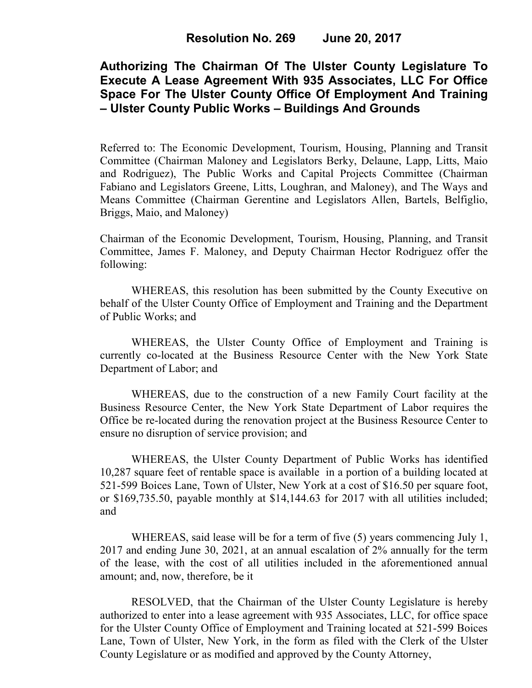# **Authorizing The Chairman Of The Ulster County Legislature To Execute A Lease Agreement With 935 Associates, LLC For Office Space For The Ulster County Office Of Employment And Training – Ulster County Public Works – Buildings And Grounds**

Referred to: The Economic Development, Tourism, Housing, Planning and Transit Committee (Chairman Maloney and Legislators Berky, Delaune, Lapp, Litts, Maio and Rodriguez), The Public Works and Capital Projects Committee (Chairman Fabiano and Legislators Greene, Litts, Loughran, and Maloney), and The Ways and Means Committee (Chairman Gerentine and Legislators Allen, Bartels, Belfiglio, Briggs, Maio, and Maloney)

Chairman of the Economic Development, Tourism, Housing, Planning, and Transit Committee, James F. Maloney, and Deputy Chairman Hector Rodriguez offer the following:

WHEREAS, this resolution has been submitted by the County Executive on behalf of the Ulster County Office of Employment and Training and the Department of Public Works; and

WHEREAS, the Ulster County Office of Employment and Training is currently co-located at the Business Resource Center with the New York State Department of Labor; and

WHEREAS, due to the construction of a new Family Court facility at the Business Resource Center, the New York State Department of Labor requires the Office be re-located during the renovation project at the Business Resource Center to ensure no disruption of service provision; and

WHEREAS, the Ulster County Department of Public Works has identified 10,287 square feet of rentable space is available in a portion of a building located at 521-599 Boices Lane, Town of Ulster, New York at a cost of \$16.50 per square foot, or \$169,735.50, payable monthly at \$14,144.63 for 2017 with all utilities included; and

WHEREAS, said lease will be for a term of five (5) years commencing July 1, 2017 and ending June 30, 2021, at an annual escalation of 2% annually for the term of the lease, with the cost of all utilities included in the aforementioned annual amount; and, now, therefore, be it

RESOLVED, that the Chairman of the Ulster County Legislature is hereby authorized to enter into a lease agreement with 935 Associates, LLC, for office space for the Ulster County Office of Employment and Training located at 521-599 Boices Lane, Town of Ulster, New York, in the form as filed with the Clerk of the Ulster County Legislature or as modified and approved by the County Attorney,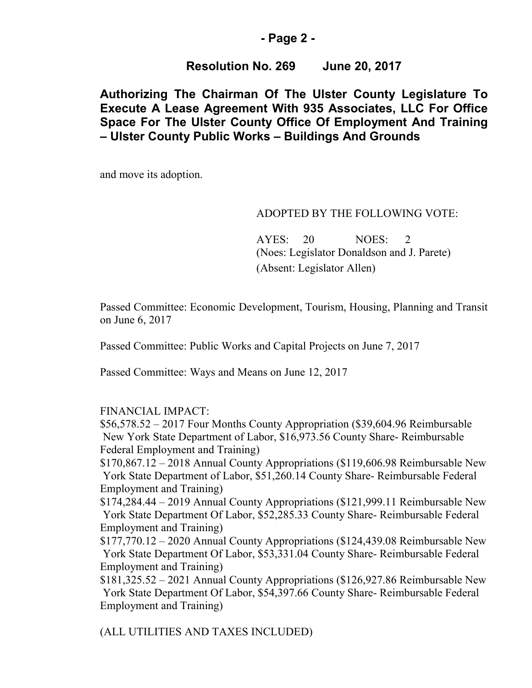## **- Page 2 -**

# **Resolution No. 269 June 20, 2017**

# **Authorizing The Chairman Of The Ulster County Legislature To Execute A Lease Agreement With 935 Associates, LLC For Office Space For The Ulster County Office Of Employment And Training – Ulster County Public Works – Buildings And Grounds**

and move its adoption.

#### ADOPTED BY THE FOLLOWING VOTE:

AYES: 20 NOES: 2 (Noes: Legislator Donaldson and J. Parete) (Absent: Legislator Allen)

Passed Committee: Economic Development, Tourism, Housing, Planning and Transit on June 6, 2017

Passed Committee: Public Works and Capital Projects on June 7, 2017

Passed Committee: Ways and Means on June 12, 2017

### FINANCIAL IMPACT:

\$56,578.52 – 2017 Four Months County Appropriation (\$39,604.96 Reimbursable New York State Department of Labor, \$16,973.56 County Share- Reimbursable Federal Employment and Training)

\$170,867.12 – 2018 Annual County Appropriations (\$119,606.98 Reimbursable New York State Department of Labor, \$51,260.14 County Share- Reimbursable Federal Employment and Training)

\$174,284.44 – 2019 Annual County Appropriations (\$121,999.11 Reimbursable New York State Department Of Labor, \$52,285.33 County Share- Reimbursable Federal Employment and Training)

\$177,770.12 – 2020 Annual County Appropriations (\$124,439.08 Reimbursable New York State Department Of Labor, \$53,331.04 County Share- Reimbursable Federal Employment and Training)

\$181,325.52 – 2021 Annual County Appropriations (\$126,927.86 Reimbursable New York State Department Of Labor, \$54,397.66 County Share- Reimbursable Federal Employment and Training)

(ALL UTILITIES AND TAXES INCLUDED)